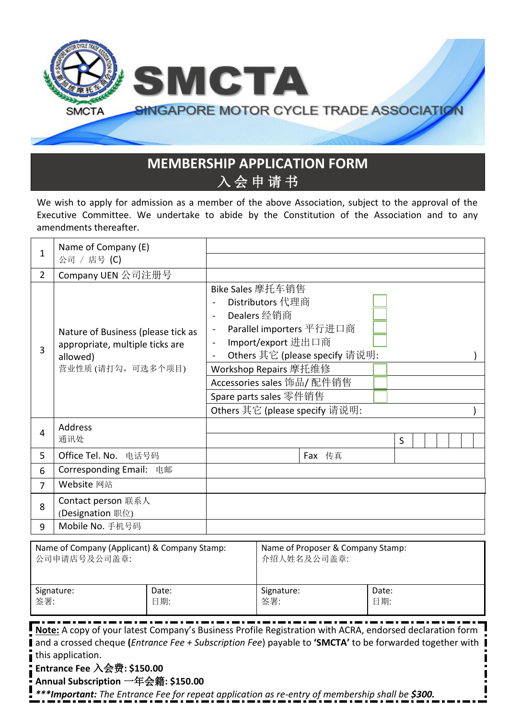

## **MEMBERSHIP APPLICATION FORM** 入 会 申 请 书

We wish to apply for admission as a member of the above Association, subject to the approval of the Executive Committee. We undertake to abide by the Constitution of the Association and to any amendments thereafter.

| 1                                                            | Name of Company (E)<br>公司 / 店号 (C)                                                                                                                                                                                                                                                                                    |              |                                                                                                                                                                                                                                                                                                                                                        |                                                  |        |              |         |  |  |  |
|--------------------------------------------------------------|-----------------------------------------------------------------------------------------------------------------------------------------------------------------------------------------------------------------------------------------------------------------------------------------------------------------------|--------------|--------------------------------------------------------------------------------------------------------------------------------------------------------------------------------------------------------------------------------------------------------------------------------------------------------------------------------------------------------|--------------------------------------------------|--------|--------------|---------|--|--|--|
| $\overline{2}$                                               | Company UEN 公司注册号                                                                                                                                                                                                                                                                                                     |              |                                                                                                                                                                                                                                                                                                                                                        |                                                  |        |              |         |  |  |  |
| 3                                                            | Nature of Business (please tick as<br>appropriate, multiple ticks are<br>allowed)<br>营业性质 (请打勾,可选多个项目)                                                                                                                                                                                                                |              | Bike Sales 摩托车销售<br>Distributors 代理商<br>$\blacksquare$<br>Dealers 经销商<br>$\sim$<br>Parallel importers 平行进口商<br>$\overline{\phantom{a}}$<br>Import/export 进出口商<br>$\blacksquare$<br>Others 其它 (please specify 请说明:<br>$\blacksquare$<br>Workshop Repairs 摩托维修<br>Accessories sales 饰品/ 配件销售<br>Spare parts sales 零件销售<br>Others 其它 (please specify 请说明: |                                                  |        |              |         |  |  |  |
| 4                                                            | Address<br>通讯处                                                                                                                                                                                                                                                                                                        |              |                                                                                                                                                                                                                                                                                                                                                        |                                                  |        |              | $\sf S$ |  |  |  |
| 5                                                            | Office Tel. No.<br>电话号码                                                                                                                                                                                                                                                                                               |              |                                                                                                                                                                                                                                                                                                                                                        |                                                  | Fax 传真 |              |         |  |  |  |
| 6                                                            | <b>Corresponding Email:</b><br>电邮                                                                                                                                                                                                                                                                                     |              |                                                                                                                                                                                                                                                                                                                                                        |                                                  |        |              |         |  |  |  |
| 7                                                            | Website 网站                                                                                                                                                                                                                                                                                                            |              |                                                                                                                                                                                                                                                                                                                                                        |                                                  |        |              |         |  |  |  |
| Contact person 联系人<br>8<br>(Designation 职位)                  |                                                                                                                                                                                                                                                                                                                       |              |                                                                                                                                                                                                                                                                                                                                                        |                                                  |        |              |         |  |  |  |
| 9                                                            | Mobile No. 手机号码                                                                                                                                                                                                                                                                                                       |              |                                                                                                                                                                                                                                                                                                                                                        |                                                  |        |              |         |  |  |  |
| Name of Company (Applicant) & Company Stamp:<br>公司申请店号及公司盖章: |                                                                                                                                                                                                                                                                                                                       |              |                                                                                                                                                                                                                                                                                                                                                        | Name of Proposer & Company Stamp:<br>介绍人姓名及公司盖章: |        |              |         |  |  |  |
| Signature:<br>签署:                                            |                                                                                                                                                                                                                                                                                                                       | Date:<br>日期: |                                                                                                                                                                                                                                                                                                                                                        | Signature:<br>签署:                                |        | Date:<br>日期: |         |  |  |  |
|                                                              | Note: A copy of your latest Company's Business Profile Registration with ACRA, endorsed declaration form<br>and a crossed cheque (Entrance Fee + Subscription Fee) payable to 'SMCTA' to be forwarded together with<br>this application.<br>Entrance Fee $\lambda$ 会费: \$150.00<br>Annual Subscription 一年会籍: \$150.00 |              |                                                                                                                                                                                                                                                                                                                                                        |                                                  |        |              |         |  |  |  |

*\*\*\*Important: The Entrance Fee for repeat application as re-entry of membership shall be \$300.*